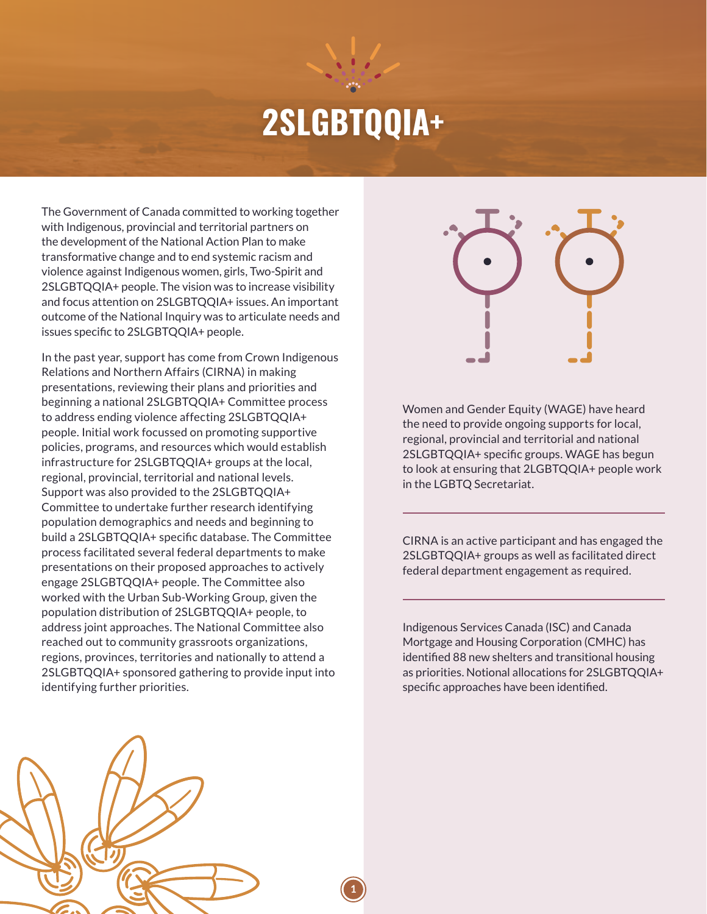## **2SLGBTQQIA+**

**1**

The Government of Canada committed to working together with Indigenous, provincial and territorial partners on the development of the National Action Plan to make transformative change and to end systemic racism and violence against Indigenous women, girls, Two-Spirit and 2SLGBTQQIA+ people. The vision was to increase visibility and focus attention on 2SLGBTQQIA+ issues. An important outcome of the National Inquiry was to articulate needs and issues specific to 2SLGBTQQIA+ people.

In the past year, support has come from Crown Indigenous Relations and Northern Affairs (CIRNA) in making presentations, reviewing their plans and priorities and beginning a national 2SLGBTQQIA+ Committee process to address ending violence affecting 2SLGBTQQIA+ people. Initial work focussed on promoting supportive policies, programs, and resources which would establish infrastructure for 2SLGBTQQIA+ groups at the local, regional, provincial, territorial and national levels. Support was also provided to the 2SLGBTQQIA+ Committee to undertake further research identifying population demographics and needs and beginning to build a 2SLGBTQQIA+ specific database. The Committee process facilitated several federal departments to make presentations on their proposed approaches to actively engage 2SLGBTQQIA+ people. The Committee also worked with the Urban Sub-Working Group, given the population distribution of 2SLGBTQQIA+ people, to address joint approaches. The National Committee also reached out to community grassroots organizations, regions, provinces, territories and nationally to attend a 2SLGBTQQIA+ sponsored gathering to provide input into identifying further priorities.



Women and Gender Equity (WAGE) have heard the need to provide ongoing supports for local, regional, provincial and territorial and national 2SLGBTQQIA+ specific groups. WAGE has begun to look at ensuring that 2LGBTQQIA+ people work in the LGBTQ Secretariat.

CIRNA is an active participant and has engaged the 2SLGBTQQIA+ groups as well as facilitated direct federal department engagement as required.

Indigenous Services Canada (ISC) and Canada Mortgage and Housing Corporation (CMHC) has identified 88 new shelters and transitional housing as priorities. Notional allocations for 2SLGBTQQIA+ specific approaches have been identified.